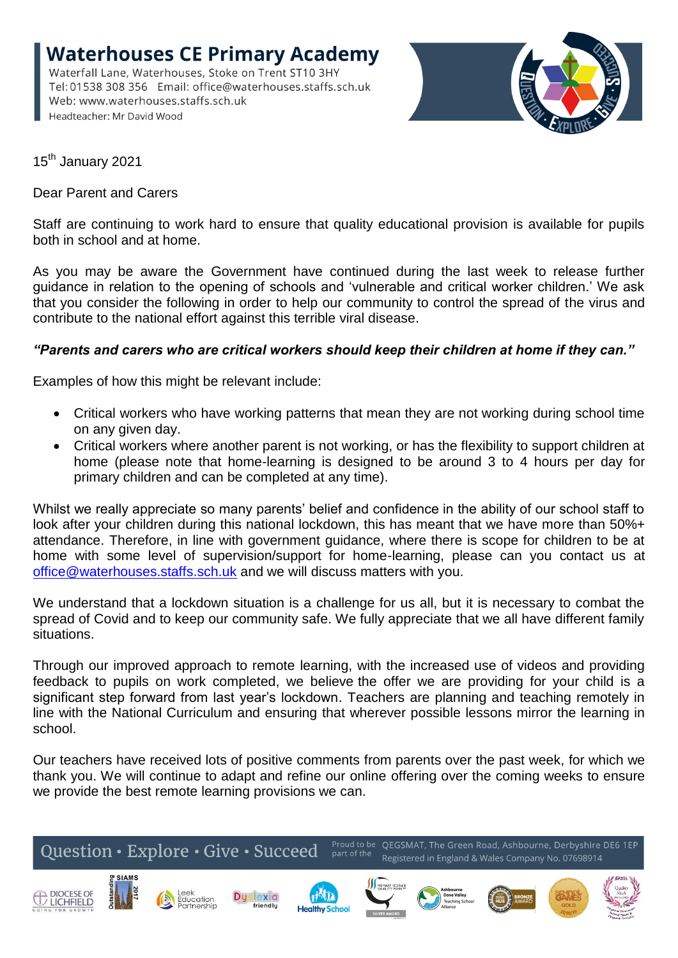**Waterhouses CE Primary Academy** Waterfall Lane, Waterhouses, Stoke on Trent ST10 3HY Web: www.waterhouses.staffs.sch.uk Headteacher: Mr David Wood



15<sup>th</sup> January 2021

Dear Parent and Carers

Staff are continuing to work hard to ensure that quality educational provision is available for pupils both in school and at home.

As you may be aware the Government have continued during the last week to release further guidance in relation to the opening of schools and 'vulnerable and critical worker children.' We ask that you consider the following in order to help our community to control the spread of the virus and contribute to the national effort against this terrible viral disease.

## *"Parents and carers who are critical workers should keep their children at home if they can."*

Examples of how this might be relevant include:

- Critical workers who have working patterns that mean they are not working during school time on any given day.
- Critical workers where another parent is not working, or has the flexibility to support children at home (please note that home-learning is designed to be around 3 to 4 hours per day for primary children and can be completed at any time).

Whilst we really appreciate so many parents' belief and confidence in the ability of our school staff to look after your children during this national lockdown, this has meant that we have more than 50%+ attendance. Therefore, in line with government guidance, where there is scope for children to be at home with some level of supervision/support for home-learning, please can you contact us at [office@waterhouses.staffs.sch.uk](about:blank) and we will discuss matters with you.

We understand that a lockdown situation is a challenge for us all, but it is necessary to combat the spread of Covid and to keep our community safe. We fully appreciate that we all have different family situations.

Through our improved approach to remote learning, with the increased use of videos and providing feedback to pupils on work completed, we believe the offer we are providing for your child is a significant step forward from last year's lockdown. Teachers are planning and teaching remotely in line with the National Curriculum and ensuring that wherever possible lessons mirror the learning in school.

Our teachers have received lots of positive comments from parents over the past week, for which we thank you. We will continue to adapt and refine our online offering over the coming weeks to ensure we provide the best remote learning provisions we can.